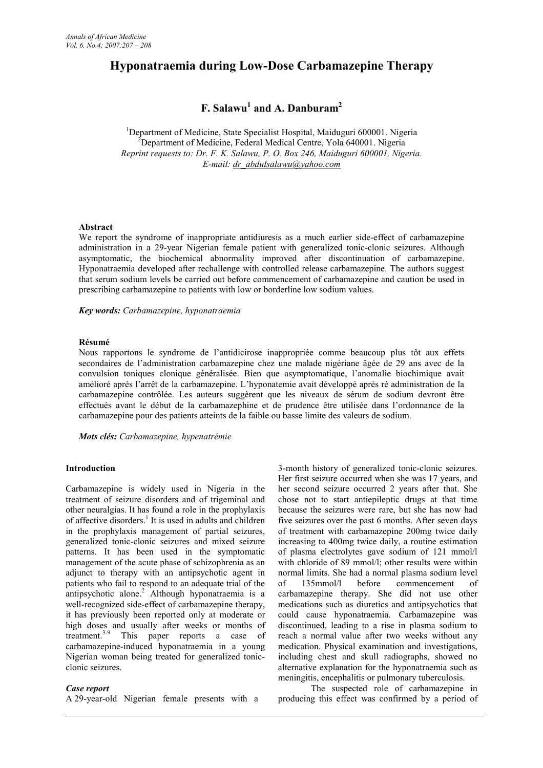# **Hyponatraemia during Low-Dose Carbamazepine Therapy**

# **F. Salawu<sup>1</sup> and A. Danburam<sup>2</sup>**

<sup>1</sup>Department of Medicine, State Specialist Hospital, Maiduguri 600001. Nigeria <sup>2</sup>Department of Medicine, Federal Medical Centre, Yola 640001. Nigeria *Reprint requests to: Dr. F. K. Salawu, P. O. Box 246, Maiduguri 600001, Nigeria. E-mail: dr\_abdulsalawu@yahoo.com*

## **Abstract**

We report the syndrome of inappropriate antidiuresis as a much earlier side-effect of carbamazepine administration in a 29-year Nigerian female patient with generalized tonic-clonic seizures. Although asymptomatic, the biochemical abnormality improved after discontinuation of carbamazepine. Hyponatraemia developed after rechallenge with controlled release carbamazepine. The authors suggest that serum sodium levels be carried out before commencement of carbamazepine and caution be used in prescribing carbamazepine to patients with low or borderline low sodium values.

#### *Key words: Carbamazepine, hyponatraemia*

#### **Résumé**

Nous rapportons le syndrome de l'antidicirose inappropriée comme beaucoup plus tôt aux effets secondaires de l'administration carbamazepine chez une malade nigériane âgée de 29 ans avec de la convulsion toniques clonique généralisée. Bien que asymptomatique, l'anomalie biochimique avait amélioré après l'arrêt de la carbamazepine. L'hyponatemie avait développé après ré administration de la carbamazepine contrôlée. Les auteurs suggèrent que les niveaux de sérum de sodium devront être effectués avant le début de la carbamazephine et de prudence être utilisée dans l'ordonnance de la carbamazepine pour des patients atteints de la faible ou basse limite des valeurs de sodium.

*Mots clés: Carbamazepine, hypenatrémie*

#### **Introduction**

Carbamazepine is widely used in Nigeria in the treatment of seizure disorders and of trigeminal and other neuralgias. It has found a role in the prophylaxis of affective disorders.<sup>1</sup> It is used in adults and children in the prophylaxis management of partial seizures, generalized tonic-clonic seizures and mixed seizure patterns. It has been used in the symptomatic management of the acute phase of schizophrenia as an adjunct to therapy with an antipsychotic agent in patients who fail to respond to an adequate trial of the antipsychotic alone.<sup>2</sup> Although hyponatraemia is a well-recognized side-effect of carbamazepine therapy, it has previously been reported only at moderate or high doses and usually after weeks or months of treatment.<sup>3-9</sup> This paper reports a case of This paper reports a case of carbamazepine-induced hyponatraemia in a young Nigerian woman being treated for generalized tonicclonic seizures.

#### *Case report*

A 29-year-old Nigerian female presents with a

3-month history of generalized tonic-clonic seizures. Her first seizure occurred when she was 17 years, and her second seizure occurred 2 years after that. She chose not to start antiepileptic drugs at that time because the seizures were rare, but she has now had five seizures over the past 6 months. After seven days of treatment with carbamazepine 200mg twice daily increasing to 400mg twice daily, a routine estimation of plasma electrolytes gave sodium of 121 mmol/l with chloride of 89 mmol/l; other results were within normal limits. She had a normal plasma sodium level 135mmol/l before commencement of carbamazepine therapy. She did not use other medications such as diuretics and antipsychotics that could cause hyponatraemia. Carbamazepine was discontinued, leading to a rise in plasma sodium to reach a normal value after two weeks without any medication. Physical examination and investigations, including chest and skull radiographs, showed no alternative explanation for the hyponatraemia such as meningitis, encephalitis or pulmonary tuberculosis.

The suspected role of carbamazepine in producing this effect was confirmed by a period of